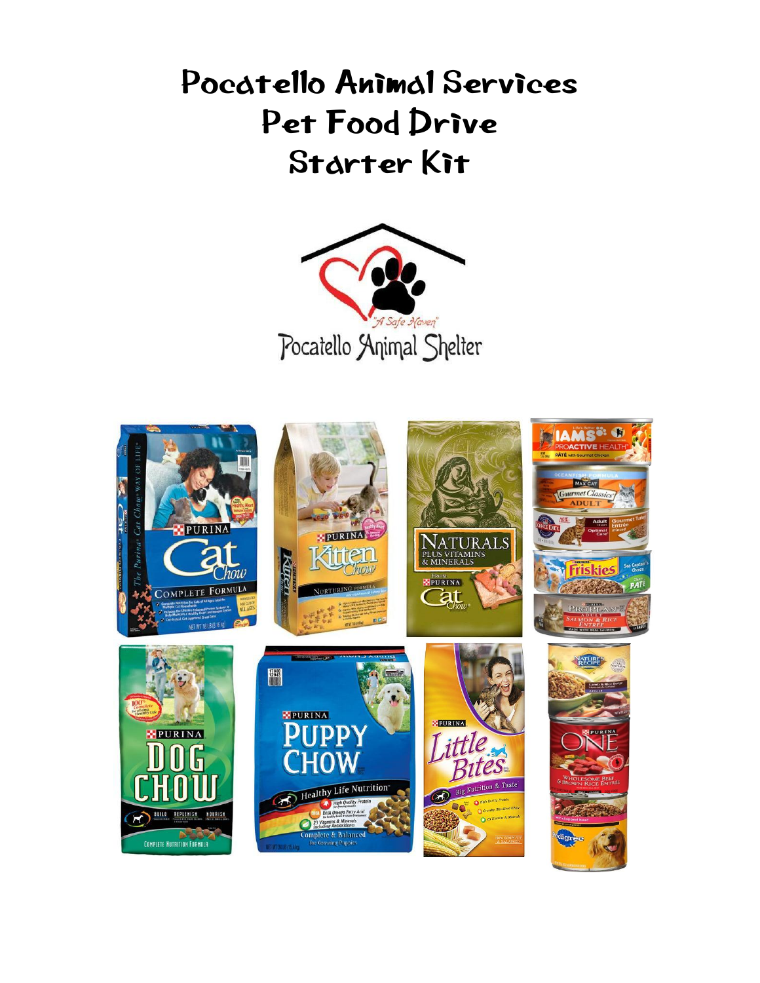# Pocatello Animal Services Pet Food Drive Starter Kit



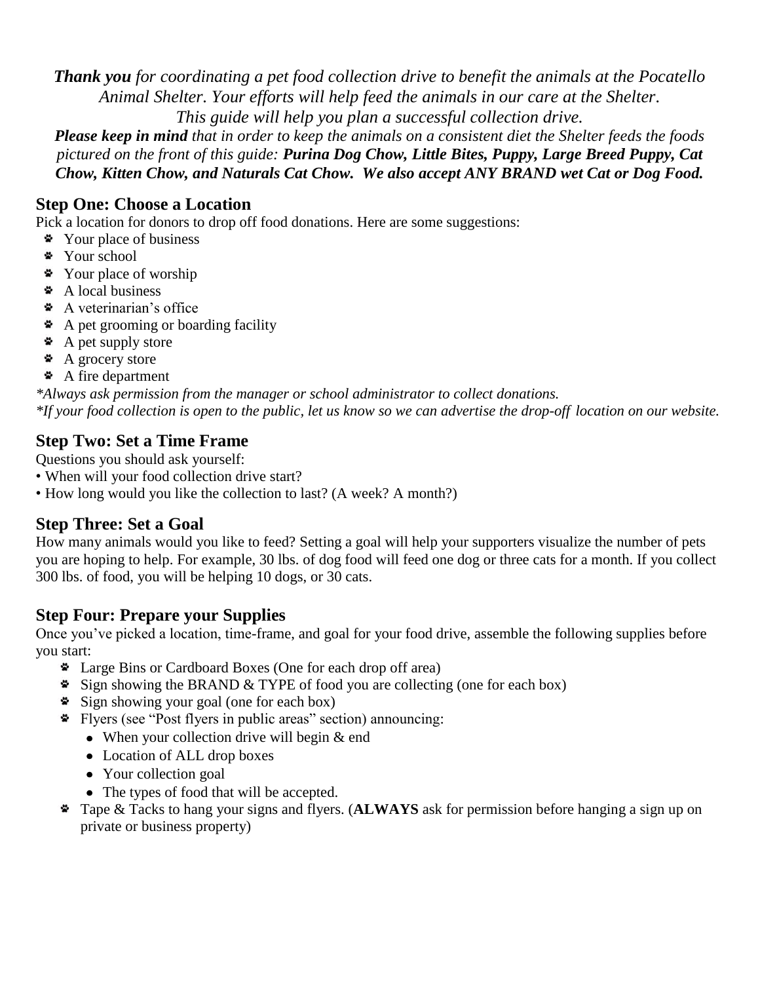*Thank you for coordinating a pet food collection drive to benefit the animals at the Pocatello Animal Shelter. Your efforts will help feed the animals in our care at the Shelter. This guide will help you plan a successful collection drive.*

*Please keep in mind that in order to keep the animals on a consistent diet the Shelter feeds the foods pictured on the front of this guide: Purina Dog Chow, Little Bites, Puppy, Large Breed Puppy, Cat Chow, Kitten Chow, and Naturals Cat Chow. We also accept ANY BRAND wet Cat or Dog Food.*

#### **Step One: Choose a Location**

Pick a location for donors to drop off food donations. Here are some suggestions:

- Your place of business
- \* Your school
- Your place of worship
- A local business
- A veterinarian's office
- A pet grooming or boarding facility
- $\triangle$  A pet supply store
- A grocery store
- A fire department

*\*Always ask permission from the manager or school administrator to collect donations. \*If your food collection is open to the public, let us know so we can advertise the drop-off location on our website.*

#### **Step Two: Set a Time Frame**

Questions you should ask yourself:

- When will your food collection drive start?
- How long would you like the collection to last? (A week? A month?)

#### **Step Three: Set a Goal**

How many animals would you like to feed? Setting a goal will help your supporters visualize the number of pets you are hoping to help. For example, 30 lbs. of dog food will feed one dog or three cats for a month. If you collect 300 lbs. of food, you will be helping 10 dogs, or 30 cats.

#### **Step Four: Prepare your Supplies**

Once you've picked a location, time-frame, and goal for your food drive, assemble the following supplies before you start:

- Large Bins or Cardboard Boxes (One for each drop off area)
- $\bullet$  Sign showing the BRAND & TYPE of food you are collecting (one for each box)
- Sign showing your goal (one for each box)
- Flyers (see "Post flyers in public areas" section) announcing:
	- When your collection drive will begin & end
	- Location of ALL drop boxes
	- Your collection goal
	- The types of food that will be accepted.
- Tape & Tacks to hang your signs and flyers. (**ALWAYS** ask for permission before hanging a sign up on private or business property)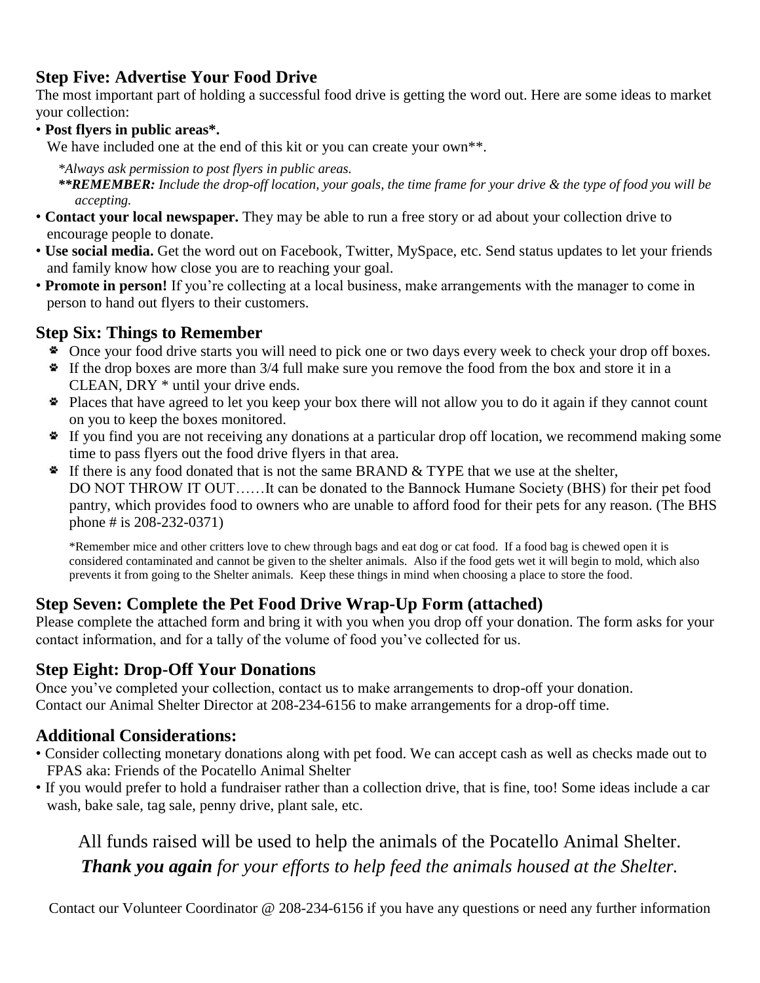#### **Step Five: Advertise Your Food Drive**

The most important part of holding a successful food drive is getting the word out. Here are some ideas to market your collection:

• **Post flyers in public areas\*.**

We have included one at the end of this kit or you can create your own<sup>\*\*</sup>.

*\*Always ask permission to post flyers in public areas.*

*\*\*REMEMBER: Include the drop-off location, your goals, the time frame for your drive & the type of food you will be accepting.*

- **Contact your local newspaper.** They may be able to run a free story or ad about your collection drive to encourage people to donate.
- **Use social media.** Get the word out on Facebook, Twitter, MySpace, etc. Send status updates to let your friends and family know how close you are to reaching your goal.
- **Promote in person!** If you're collecting at a local business, make arrangements with the manager to come in person to hand out flyers to their customers.

#### **Step Six: Things to Remember**

- Once your food drive starts you will need to pick one or two days every week to check your drop off boxes.
- If the drop boxes are more than 3/4 full make sure you remove the food from the box and store it in a CLEAN, DRY \* until your drive ends.
- Places that have agreed to let you keep your box there will not allow you to do it again if they cannot count on you to keep the boxes monitored.
- If you find you are not receiving any donations at a particular drop off location, we recommend making some time to pass flyers out the food drive flyers in that area.
- $\bullet$  If there is any food donated that is not the same BRAND & TYPE that we use at the shelter, DO NOT THROW IT OUT……It can be donated to the Bannock Humane Society (BHS) for their pet food pantry, which provides food to owners who are unable to afford food for their pets for any reason. (The BHS phone # is 208-232-0371)

\*Remember mice and other critters love to chew through bags and eat dog or cat food. If a food bag is chewed open it is considered contaminated and cannot be given to the shelter animals. Also if the food gets wet it will begin to mold, which also prevents it from going to the Shelter animals. Keep these things in mind when choosing a place to store the food.

#### **Step Seven: Complete the Pet Food Drive Wrap-Up Form (attached)**

Please complete the attached form and bring it with you when you drop off your donation. The form asks for your contact information, and for a tally of the volume of food you've collected for us.

#### **Step Eight: Drop-Off Your Donations**

Once you've completed your collection, contact us to make arrangements to drop-off your donation. Contact our Animal Shelter Director at 208-234-6156 to make arrangements for a drop-off time.

#### **Additional Considerations:**

- Consider collecting monetary donations along with pet food. We can accept cash as well as checks made out to FPAS aka: Friends of the Pocatello Animal Shelter
- If you would prefer to hold a fundraiser rather than a collection drive, that is fine, too! Some ideas include a car wash, bake sale, tag sale, penny drive, plant sale, etc.

All funds raised will be used to help the animals of the Pocatello Animal Shelter. *Thank you again for your efforts to help feed the animals housed at the Shelter.*

Contact our Volunteer Coordinator @ 208-234-6156 if you have any questions or need any further information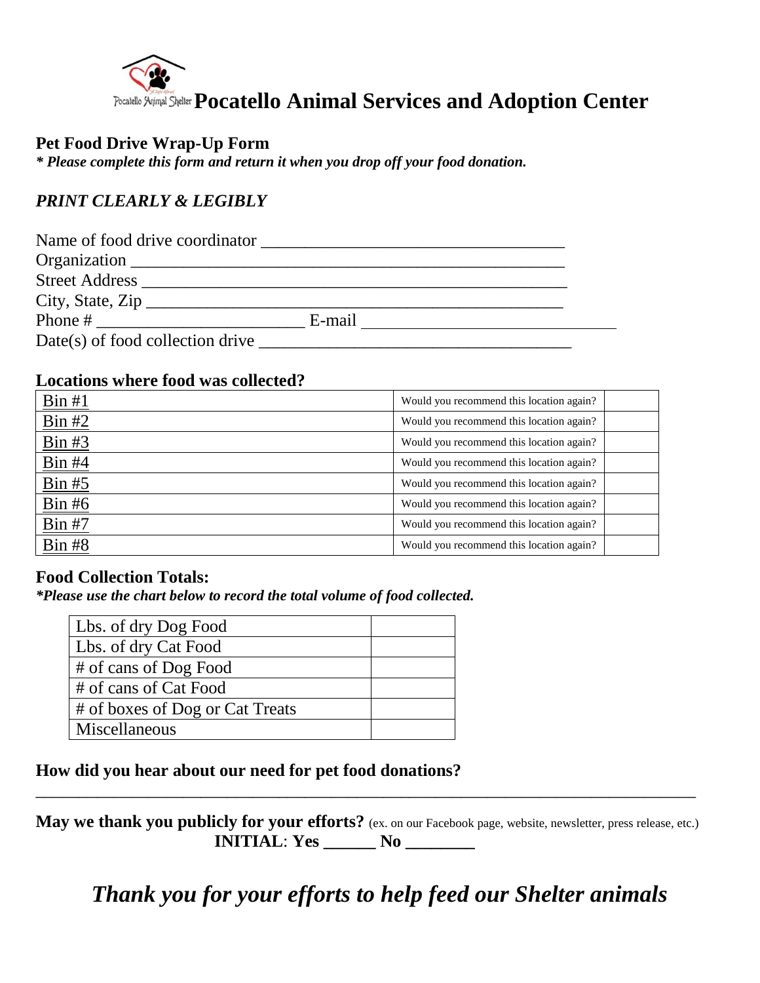

#### **Pet Food Drive Wrap-Up Form**

*\* Please complete this form and return it when you drop off your food donation.*

#### *PRINT CLEARLY & LEGIBLY*

| Name of food drive coordinator   |        |  |
|----------------------------------|--------|--|
| Organization                     |        |  |
| <b>Street Address</b>            |        |  |
| City, State, $\overline{Zip}$    |        |  |
| Phone $#$                        | E-mail |  |
| Date(s) of food collection drive |        |  |

#### **Locations where food was collected?**

| Bin#1                                       | Would you recommend this location again? |  |
|---------------------------------------------|------------------------------------------|--|
| $\frac{\text{Bin } \#2}{\text{Bin } \#2}$   | Would you recommend this location again? |  |
| Bin#3                                       | Would you recommend this location again? |  |
| Bin#4                                       | Would you recommend this location again? |  |
| $\frac{\text{Bin } \# 5}{\text{Bin } \# 5}$ | Would you recommend this location again? |  |
| Bin#6                                       | Would you recommend this location again? |  |
| <b>Bin #7</b>                               | Would you recommend this location again? |  |
| Bin#8                                       | Would you recommend this location again? |  |

#### **Food Collection Totals:**

*\*Please use the chart below to record the total volume of food collected.*

| Lbs. of dry Dog Food            |  |
|---------------------------------|--|
| Lbs. of dry Cat Food            |  |
| # of cans of Dog Food           |  |
| # of cans of Cat Food           |  |
| # of boxes of Dog or Cat Treats |  |
| Miscellaneous                   |  |

#### **How did you hear about our need for pet food donations?**

**May we thank you publicly for your efforts?** (ex. on our Facebook page, website, newsletter, press release, etc.) **INITIAL**: **Yes \_\_\_\_\_\_ No \_\_\_\_\_\_\_\_**

\_\_\_\_\_\_\_\_\_\_\_\_\_\_\_\_\_\_\_\_\_\_\_\_\_\_\_\_\_\_\_\_\_\_\_\_\_\_\_\_\_\_\_\_\_\_\_\_\_\_\_\_\_\_\_\_\_\_\_\_\_\_\_\_\_\_\_\_\_\_\_\_\_\_\_\_

*Thank you for your efforts to help feed our Shelter animals*